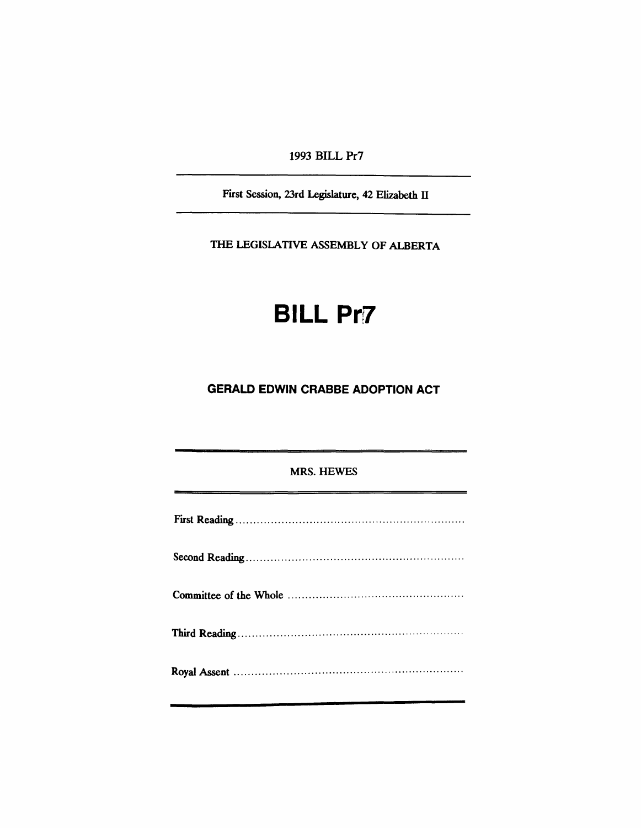1993 BILL Pr7

First Session, 23rd Legislature, 42 Elizabeth II

THE LEGISlATIVE ASSEMBLY OF ALBERTA

# **BILL Pr7**

# **GERALD EDWIN CRABBE ADOPTION ACT**

### MRS. HEWES